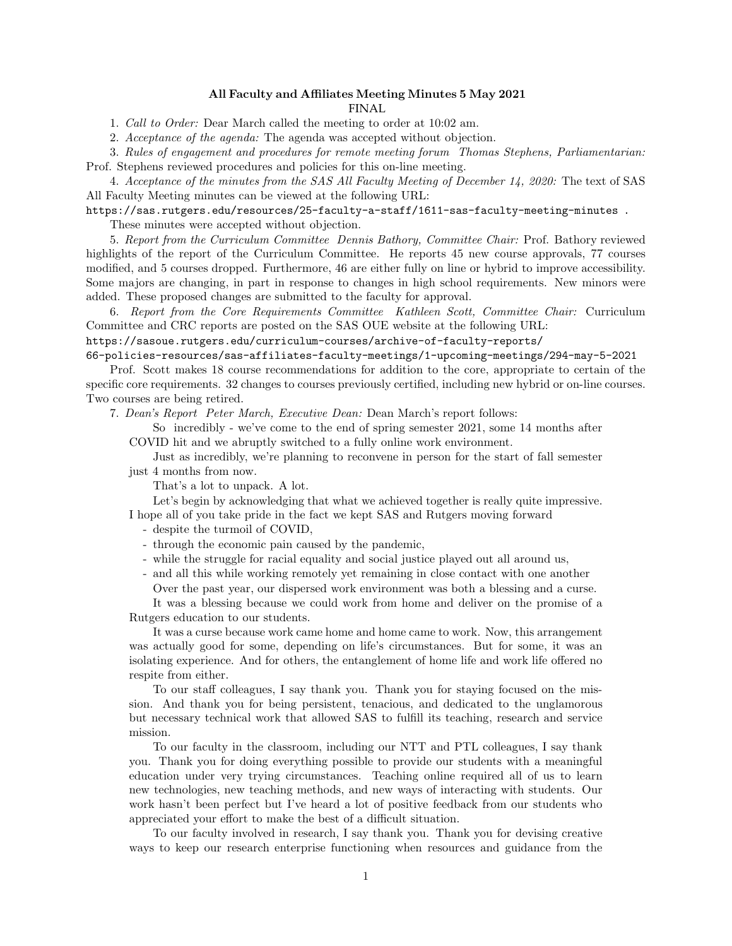## All Faculty and Affiliates Meeting Minutes 5 May 2021 FINAL

1. Call to Order: Dear March called the meeting to order at 10:02 am.

2. Acceptance of the agenda: The agenda was accepted without objection.

3. Rules of engagement and procedures for remote meeting forum Thomas Stephens, Parliamentarian: Prof. Stephens reviewed procedures and policies for this on-line meeting.

4. Acceptance of the minutes from the SAS All Faculty Meeting of December 14, 2020: The text of SAS All Faculty Meeting minutes can be viewed at the following URL:

https://sas.rutgers.edu/resources/25-faculty-a-staff/1611-sas-faculty-meeting-minutes . These minutes were accepted without objection.

5. Report from the Curriculum Committee Dennis Bathory, Committee Chair: Prof. Bathory reviewed highlights of the report of the Curriculum Committee. He reports 45 new course approvals, 77 courses modified, and 5 courses dropped. Furthermore, 46 are either fully on line or hybrid to improve accessibility. Some majors are changing, in part in response to changes in high school requirements. New minors were added. These proposed changes are submitted to the faculty for approval.

6. Report from the Core Requirements Committee Kathleen Scott, Committee Chair: Curriculum Committee and CRC reports are posted on the SAS OUE website at the following URL:

## https://sasoue.rutgers.edu/curriculum-courses/archive-of-faculty-reports/

66-policies-resources/sas-affiliates-faculty-meetings/1-upcoming-meetings/294-may-5-2021 Prof. Scott makes 18 course recommendations for addition to the core, appropriate to certain of the specific core requirements. 32 changes to courses previously certified, including new hybrid or on-line courses. Two courses are being retired.

7. Dean's Report Peter March, Executive Dean: Dean March's report follows:

So incredibly - we've come to the end of spring semester 2021, some 14 months after COVID hit and we abruptly switched to a fully online work environment.

Just as incredibly, we're planning to reconvene in person for the start of fall semester just 4 months from now.

That's a lot to unpack. A lot.

Let's begin by acknowledging that what we achieved together is really quite impressive. I hope all of you take pride in the fact we kept SAS and Rutgers moving forward

- despite the turmoil of COVID,
- through the economic pain caused by the pandemic,
- while the struggle for racial equality and social justice played out all around us,
- and all this while working remotely yet remaining in close contact with one another Over the past year, our dispersed work environment was both a blessing and a curse.

It was a blessing because we could work from home and deliver on the promise of a Rutgers education to our students.

It was a curse because work came home and home came to work. Now, this arrangement was actually good for some, depending on life's circumstances. But for some, it was an isolating experience. And for others, the entanglement of home life and work life offered no respite from either.

To our staff colleagues, I say thank you. Thank you for staying focused on the mission. And thank you for being persistent, tenacious, and dedicated to the unglamorous but necessary technical work that allowed SAS to fulfill its teaching, research and service mission.

To our faculty in the classroom, including our NTT and PTL colleagues, I say thank you. Thank you for doing everything possible to provide our students with a meaningful education under very trying circumstances. Teaching online required all of us to learn new technologies, new teaching methods, and new ways of interacting with students. Our work hasn't been perfect but I've heard a lot of positive feedback from our students who appreciated your effort to make the best of a difficult situation.

To our faculty involved in research, I say thank you. Thank you for devising creative ways to keep our research enterprise functioning when resources and guidance from the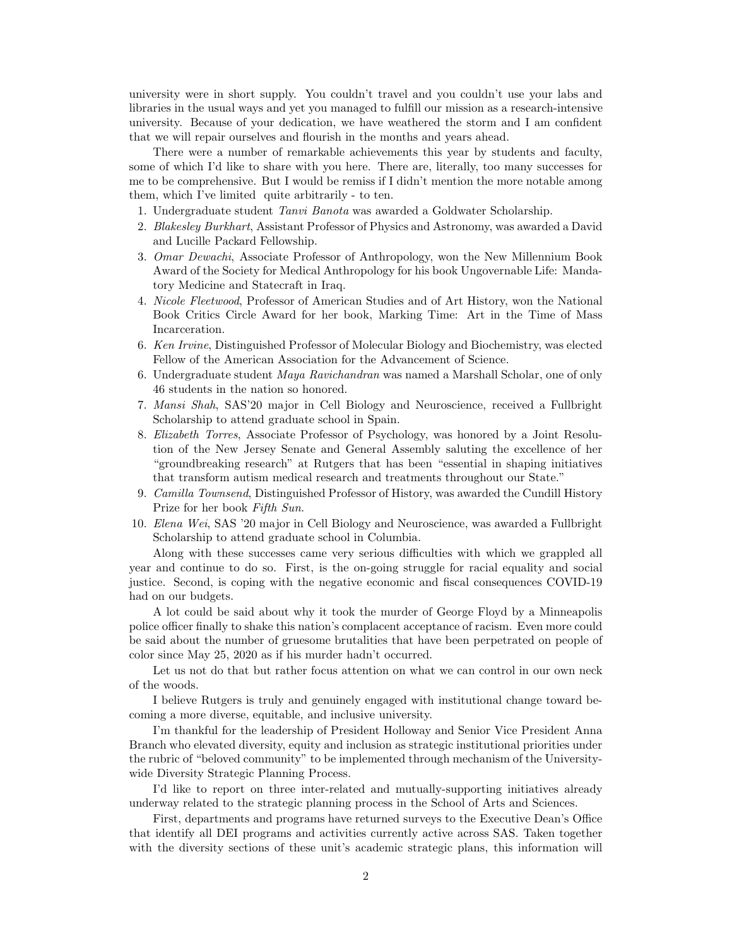university were in short supply. You couldn't travel and you couldn't use your labs and libraries in the usual ways and yet you managed to fulfill our mission as a research-intensive university. Because of your dedication, we have weathered the storm and I am confident that we will repair ourselves and flourish in the months and years ahead.

There were a number of remarkable achievements this year by students and faculty, some of which I'd like to share with you here. There are, literally, too many successes for me to be comprehensive. But I would be remiss if I didn't mention the more notable among them, which I've limited quite arbitrarily - to ten.

- 1. Undergraduate student Tanvi Banota was awarded a Goldwater Scholarship.
- 2. Blakesley Burkhart, Assistant Professor of Physics and Astronomy, was awarded a David and Lucille Packard Fellowship.
- 3. Omar Dewachi, Associate Professor of Anthropology, won the New Millennium Book Award of the Society for Medical Anthropology for his book Ungovernable Life: Mandatory Medicine and Statecraft in Iraq.
- 4. Nicole Fleetwood, Professor of American Studies and of Art History, won the National Book Critics Circle Award for her book, Marking Time: Art in the Time of Mass Incarceration.
- 6. Ken Irvine, Distinguished Professor of Molecular Biology and Biochemistry, was elected Fellow of the American Association for the Advancement of Science.
- 6. Undergraduate student Maya Ravichandran was named a Marshall Scholar, one of only 46 students in the nation so honored.
- 7. Mansi Shah, SAS'20 major in Cell Biology and Neuroscience, received a Fullbright Scholarship to attend graduate school in Spain.
- 8. Elizabeth Torres, Associate Professor of Psychology, was honored by a Joint Resolution of the New Jersey Senate and General Assembly saluting the excellence of her "groundbreaking research" at Rutgers that has been "essential in shaping initiatives that transform autism medical research and treatments throughout our State."
- 9. Camilla Townsend, Distinguished Professor of History, was awarded the Cundill History Prize for her book Fifth Sun.
- 10. Elena Wei, SAS '20 major in Cell Biology and Neuroscience, was awarded a Fullbright Scholarship to attend graduate school in Columbia.

Along with these successes came very serious difficulties with which we grappled all year and continue to do so. First, is the on-going struggle for racial equality and social justice. Second, is coping with the negative economic and fiscal consequences COVID-19 had on our budgets.

A lot could be said about why it took the murder of George Floyd by a Minneapolis police officer finally to shake this nation's complacent acceptance of racism. Even more could be said about the number of gruesome brutalities that have been perpetrated on people of color since May 25, 2020 as if his murder hadn't occurred.

Let us not do that but rather focus attention on what we can control in our own neck of the woods.

I believe Rutgers is truly and genuinely engaged with institutional change toward becoming a more diverse, equitable, and inclusive university.

I'm thankful for the leadership of President Holloway and Senior Vice President Anna Branch who elevated diversity, equity and inclusion as strategic institutional priorities under the rubric of "beloved community" to be implemented through mechanism of the Universitywide Diversity Strategic Planning Process.

I'd like to report on three inter-related and mutually-supporting initiatives already underway related to the strategic planning process in the School of Arts and Sciences.

First, departments and programs have returned surveys to the Executive Dean's Office that identify all DEI programs and activities currently active across SAS. Taken together with the diversity sections of these unit's academic strategic plans, this information will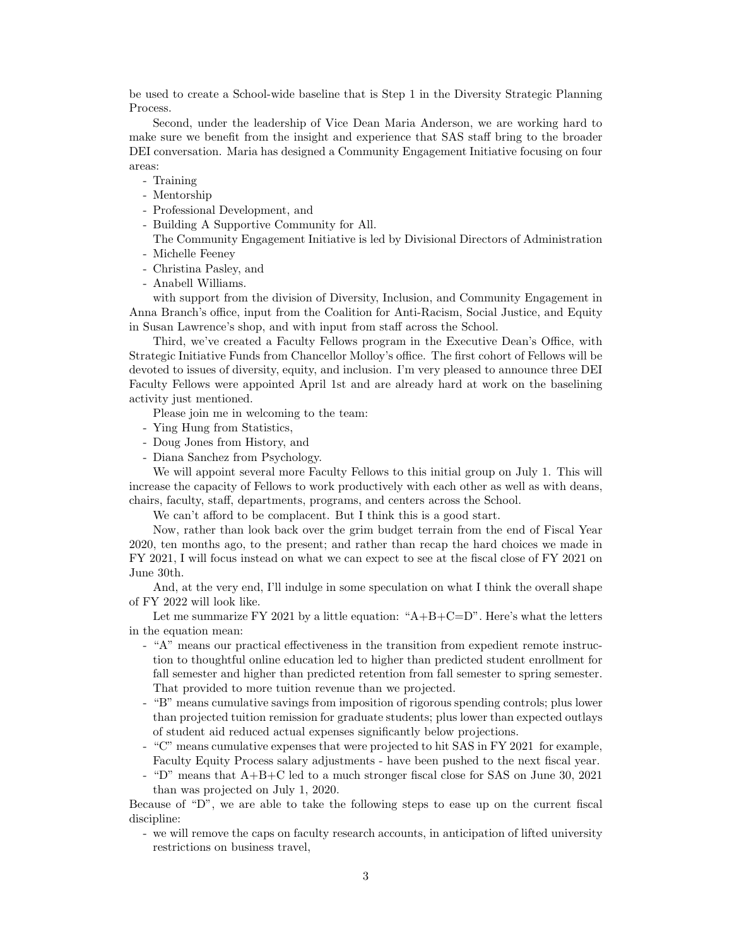be used to create a School-wide baseline that is Step 1 in the Diversity Strategic Planning Process.

Second, under the leadership of Vice Dean Maria Anderson, we are working hard to make sure we benefit from the insight and experience that SAS staff bring to the broader DEI conversation. Maria has designed a Community Engagement Initiative focusing on four areas:

- Training
- Mentorship
- Professional Development, and
- Building A Supportive Community for All.

The Community Engagement Initiative is led by Divisional Directors of Administration - Michelle Feeney

- Christina Pasley, and
- Anabell Williams.

with support from the division of Diversity, Inclusion, and Community Engagement in Anna Branch's office, input from the Coalition for Anti-Racism, Social Justice, and Equity in Susan Lawrence's shop, and with input from staff across the School.

Third, we've created a Faculty Fellows program in the Executive Dean's Office, with Strategic Initiative Funds from Chancellor Molloy's office. The first cohort of Fellows will be devoted to issues of diversity, equity, and inclusion. I'm very pleased to announce three DEI Faculty Fellows were appointed April 1st and are already hard at work on the baselining activity just mentioned.

Please join me in welcoming to the team:

- Ying Hung from Statistics,
- Doug Jones from History, and
- Diana Sanchez from Psychology.

We will appoint several more Faculty Fellows to this initial group on July 1. This will increase the capacity of Fellows to work productively with each other as well as with deans, chairs, faculty, staff, departments, programs, and centers across the School.

We can't afford to be complacent. But I think this is a good start.

Now, rather than look back over the grim budget terrain from the end of Fiscal Year 2020, ten months ago, to the present; and rather than recap the hard choices we made in FY 2021, I will focus instead on what we can expect to see at the fiscal close of FY 2021 on June 30th.

And, at the very end, I'll indulge in some speculation on what I think the overall shape of FY 2022 will look like.

Let me summarize FY 2021 by a little equation: " $A+B+C=D$ ". Here's what the letters in the equation mean:

- "A" means our practical effectiveness in the transition from expedient remote instruction to thoughtful online education led to higher than predicted student enrollment for fall semester and higher than predicted retention from fall semester to spring semester. That provided to more tuition revenue than we projected.
- "B" means cumulative savings from imposition of rigorous spending controls; plus lower than projected tuition remission for graduate students; plus lower than expected outlays of student aid reduced actual expenses significantly below projections.
- "C" means cumulative expenses that were projected to hit SAS in FY 2021 for example, Faculty Equity Process salary adjustments - have been pushed to the next fiscal year.
- "D" means that A+B+C led to a much stronger fiscal close for SAS on June 30, 2021 than was projected on July 1, 2020.

Because of "D", we are able to take the following steps to ease up on the current fiscal discipline:

- we will remove the caps on faculty research accounts, in anticipation of lifted university restrictions on business travel,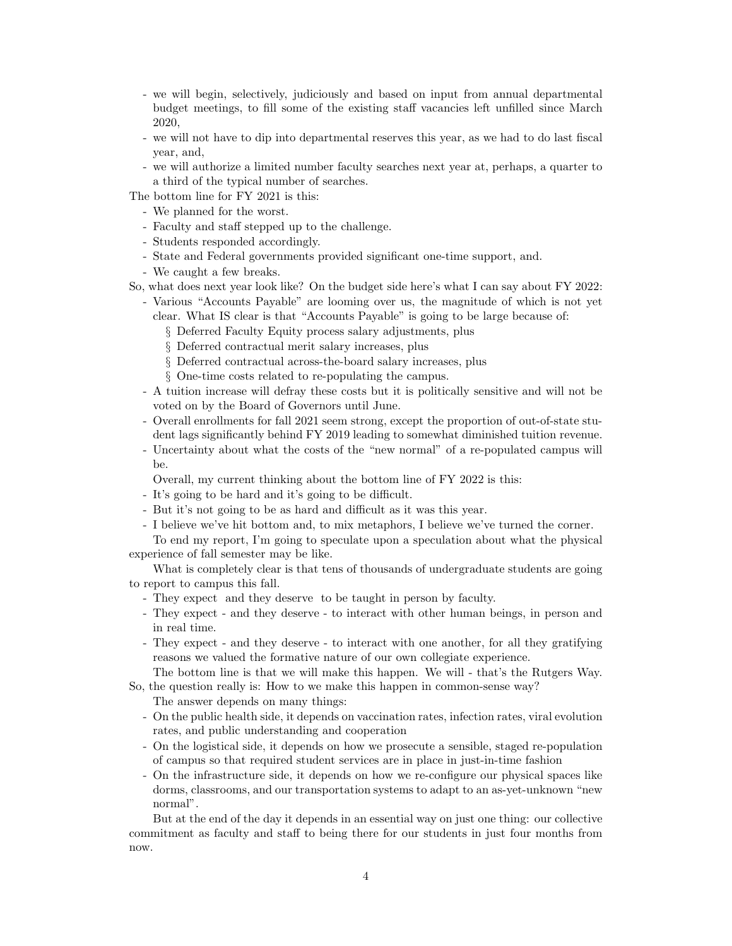- we will begin, selectively, judiciously and based on input from annual departmental budget meetings, to fill some of the existing staff vacancies left unfilled since March 2020,
- we will not have to dip into departmental reserves this year, as we had to do last fiscal year, and,
- we will authorize a limited number faculty searches next year at, perhaps, a quarter to a third of the typical number of searches.
- The bottom line for FY 2021 is this:
	- We planned for the worst.
	- Faculty and staff stepped up to the challenge.
	- Students responded accordingly.
	- State and Federal governments provided significant one-time support, and.
	- We caught a few breaks.
- So, what does next year look like? On the budget side here's what I can say about FY 2022:
	- Various "Accounts Payable" are looming over us, the magnitude of which is not yet clear. What IS clear is that "Accounts Payable" is going to be large because of:
		- § Deferred Faculty Equity process salary adjustments, plus
		- § Deferred contractual merit salary increases, plus
		- § Deferred contractual across-the-board salary increases, plus
		- § One-time costs related to re-populating the campus.
	- A tuition increase will defray these costs but it is politically sensitive and will not be voted on by the Board of Governors until June.
	- Overall enrollments for fall 2021 seem strong, except the proportion of out-of-state student lags significantly behind FY 2019 leading to somewhat diminished tuition revenue.
	- Uncertainty about what the costs of the "new normal" of a re-populated campus will be.
	- Overall, my current thinking about the bottom line of FY 2022 is this:
	- It's going to be hard and it's going to be difficult.
	- But it's not going to be as hard and difficult as it was this year.
	- I believe we've hit bottom and, to mix metaphors, I believe we've turned the corner.

To end my report, I'm going to speculate upon a speculation about what the physical experience of fall semester may be like.

What is completely clear is that tens of thousands of undergraduate students are going to report to campus this fall.

- They expect and they deserve to be taught in person by faculty.
- They expect and they deserve to interact with other human beings, in person and in real time.
- They expect and they deserve to interact with one another, for all they gratifying reasons we valued the formative nature of our own collegiate experience.

The bottom line is that we will make this happen. We will - that's the Rutgers Way. So, the question really is: How to we make this happen in common-sense way?

The answer depends on many things:

- On the public health side, it depends on vaccination rates, infection rates, viral evolution rates, and public understanding and cooperation
- On the logistical side, it depends on how we prosecute a sensible, staged re-population of campus so that required student services are in place in just-in-time fashion
- On the infrastructure side, it depends on how we re-configure our physical spaces like dorms, classrooms, and our transportation systems to adapt to an as-yet-unknown "new normal".

But at the end of the day it depends in an essential way on just one thing: our collective commitment as faculty and staff to being there for our students in just four months from now.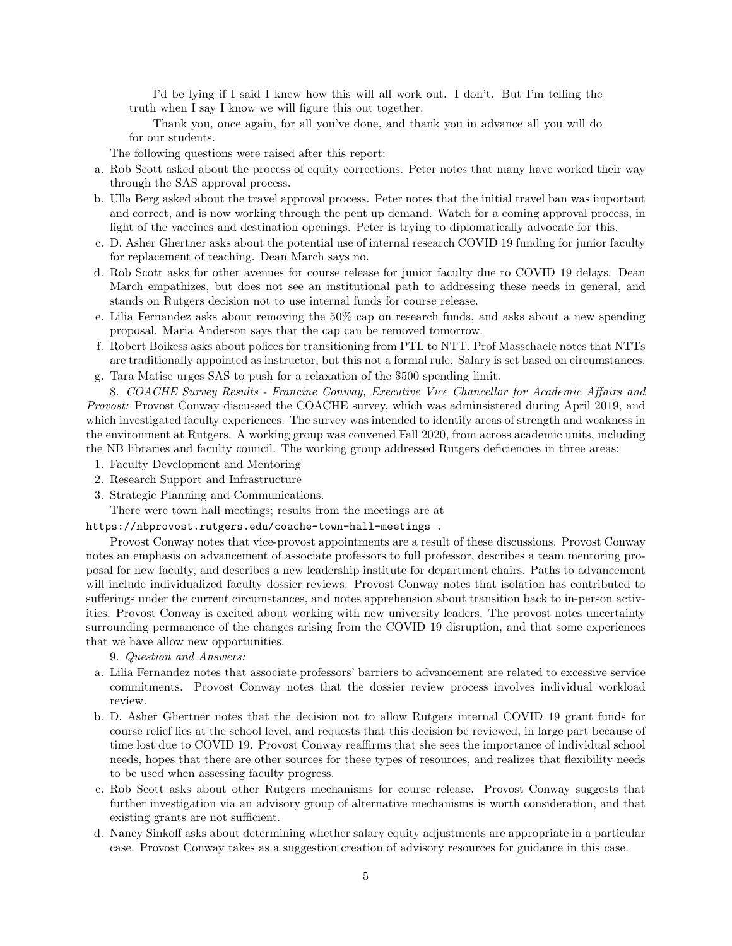I'd be lying if I said I knew how this will all work out. I don't. But I'm telling the truth when I say I know we will figure this out together.

Thank you, once again, for all you've done, and thank you in advance all you will do for our students.

The following questions were raised after this report:

- a. Rob Scott asked about the process of equity corrections. Peter notes that many have worked their way through the SAS approval process.
- b. Ulla Berg asked about the travel approval process. Peter notes that the initial travel ban was important and correct, and is now working through the pent up demand. Watch for a coming approval process, in light of the vaccines and destination openings. Peter is trying to diplomatically advocate for this.
- c. D. Asher Ghertner asks about the potential use of internal research COVID 19 funding for junior faculty for replacement of teaching. Dean March says no.
- d. Rob Scott asks for other avenues for course release for junior faculty due to COVID 19 delays. Dean March empathizes, but does not see an institutional path to addressing these needs in general, and stands on Rutgers decision not to use internal funds for course release.
- e. Lilia Fernandez asks about removing the 50% cap on research funds, and asks about a new spending proposal. Maria Anderson says that the cap can be removed tomorrow.
- f. Robert Boikess asks about polices for transitioning from PTL to NTT. Prof Masschaele notes that NTTs are traditionally appointed as instructor, but this not a formal rule. Salary is set based on circumstances. g. Tara Matise urges SAS to push for a relaxation of the \$500 spending limit.
- 8. COACHE Survey Results Francine Conway, Executive Vice Chancellor for Academic Affairs and Provost: Provost Conway discussed the COACHE survey, which was adminsistered during April 2019, and which investigated faculty experiences. The survey was intended to identify areas of strength and weakness in

the environment at Rutgers. A working group was convened Fall 2020, from across academic units, including the NB libraries and faculty council. The working group addressed Rutgers deficiencies in three areas:

- 1. Faculty Development and Mentoring
- 2. Research Support and Infrastructure
- 3. Strategic Planning and Communications.
- There were town hall meetings; results from the meetings are at

https://nbprovost.rutgers.edu/coache-town-hall-meetings .

Provost Conway notes that vice-provost appointments are a result of these discussions. Provost Conway notes an emphasis on advancement of associate professors to full professor, describes a team mentoring proposal for new faculty, and describes a new leadership institute for department chairs. Paths to advancement will include individualized faculty dossier reviews. Provost Conway notes that isolation has contributed to sufferings under the current circumstances, and notes apprehension about transition back to in-person activities. Provost Conway is excited about working with new university leaders. The provost notes uncertainty surrounding permanence of the changes arising from the COVID 19 disruption, and that some experiences that we have allow new opportunities.

9. Question and Answers:

- a. Lilia Fernandez notes that associate professors' barriers to advancement are related to excessive service commitments. Provost Conway notes that the dossier review process involves individual workload review.
- b. D. Asher Ghertner notes that the decision not to allow Rutgers internal COVID 19 grant funds for course relief lies at the school level, and requests that this decision be reviewed, in large part because of time lost due to COVID 19. Provost Conway reaffirms that she sees the importance of individual school needs, hopes that there are other sources for these types of resources, and realizes that flexibility needs to be used when assessing faculty progress.
- c. Rob Scott asks about other Rutgers mechanisms for course release. Provost Conway suggests that further investigation via an advisory group of alternative mechanisms is worth consideration, and that existing grants are not sufficient.
- d. Nancy Sinkoff asks about determining whether salary equity adjustments are appropriate in a particular case. Provost Conway takes as a suggestion creation of advisory resources for guidance in this case.